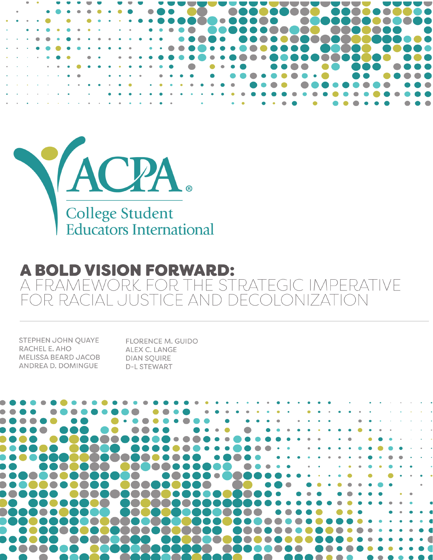



#### **A BOLD VISION FORWARD:** A FRAMEWORK FOR THE STRATEGIC IMPERATIVE  $|I|$ ECOLONIZATION DR RA  $\vdash \Delta$

STEPHEN JOHN QUAYE RACHEL E. AHO MELISSA BEARD JACOB **ANDREA D. DOMINGUE** 

**FLORENCE M. GUIDO** ALEX C. LANGE **DIAN SQUIRE D-L STEWART** 

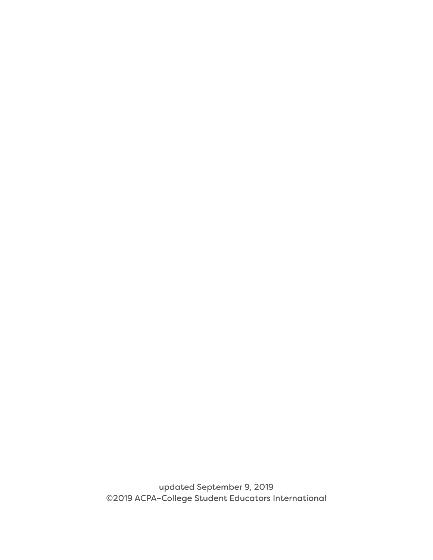updated September 9, 2019 ©2019 ACPA–College Student Educators International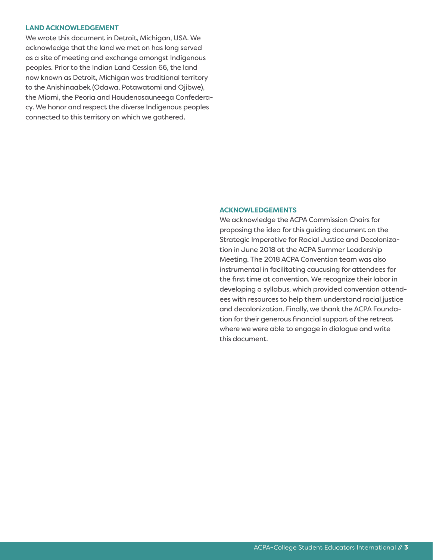#### **LAND ACKNOWLEDGEMENT**

We wrote this document in Detroit, Michigan, USA. We acknowledge that the land we met on has long served as a site of meeting and exchange amongst Indigenous peoples. Prior to the Indian Land Cession 66, the land now known as Detroit, Michigan was traditional territory to the Anishinaabek (Odawa, Potawatomi and Ojibwe), the Miami, the Peoria and Haudenosauneega Confederacy. We honor and respect the diverse Indigenous peoples connected to this territory on which we gathered.

#### **ACKNOWLEDGEMENTS**

We acknowledge the ACPA Commission Chairs for proposing the idea for this guiding document on the Strategic Imperative for Racial Justice and Decolonization in June 2018 at the ACPA Summer Leadership Meeting. The 2018 ACPA Convention team was also instrumental in facilitating caucusing for attendees for the first time at convention. We recognize their labor in developing a syllabus, which provided convention attendees with resources to help them understand racial justice and decolonization. Finally, we thank the ACPA Foundation for their generous financial support of the retreat where we were able to engage in dialogue and write this document.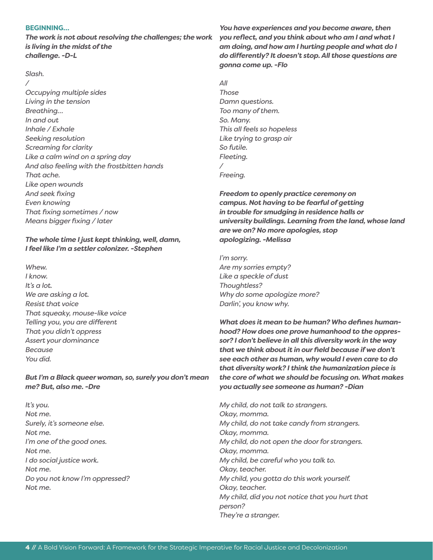#### **BEGINNING…**

*The work is not about resolving the challenges; the work is living in the midst of the challenge. -D-L* 

#### *Slash.*

*/ Occupying multiple sides Living in the tension Breathing… In and out Inhale / Exhale Seeking resolution Screaming for clarity Like a calm wind on a spring day And also feeling with the frostbitten hands That ache. Like open wounds And seek fixing Even knowing That fixing sometimes / now Means bigger fixing / later*

### *The whole time I just kept thinking, well, damn, I feel like I'm a settler colonizer. -Stephen*

*Whew. I know. It's a lot. We are asking a lot. Resist that voice That squeaky, mouse-like voice Telling you, you are different That you didn't oppress Assert your dominance Because You did.* 

*But I'm a Black queer woman, so, surely you don't mean me? But, also me. -Dre*

*It's you. Not me. Surely, it's someone else. Not me. I'm one of the good ones. Not me. I do social justice work. Not me. Do you not know I'm oppressed? Not me.* 

*You have experiences and you become aware, then you reflect, and you think about who am I and what I am doing, and how am I hurting people and what do I do differently? It doesn't stop. All those questions are gonna come up. -Flo* 

*All Those Damn questions. Too many of them. So. Many. This all feels so hopeless Like trying to grasp air So futile. Fleeting. / Freeing.*

*Freedom to openly practice ceremony on campus. Not having to be fearful of getting in trouble for smudging in residence halls or university buildings. Learning from the land, whose land are we on? No more apologies, stop apologizing. -Melissa* 

*I'm sorry. Are my sorries empty? Like a speckle of dust Thoughtless? Why do some apologize more? Darlin', you know why.*

*What does it mean to be human? Who defines humanhood? How does one prove humanhood to the oppressor? I don't believe in all this diversity work in the way that we think about it in our field because if we don't see each other as human, why would I even care to do that diversity work? I think the humanization piece is the core of what we should be focusing on. What makes you actually see someone as human? -Dian*

*My child, do not talk to strangers. Okay, momma. My child, do not take candy from strangers. Okay, momma. My child, do not open the door for strangers. Okay, momma. My child, be careful who you talk to. Okay, teacher. My child, you gotta do this work yourself. Okay, teacher. My child, did you not notice that you hurt that person? They're a stranger.*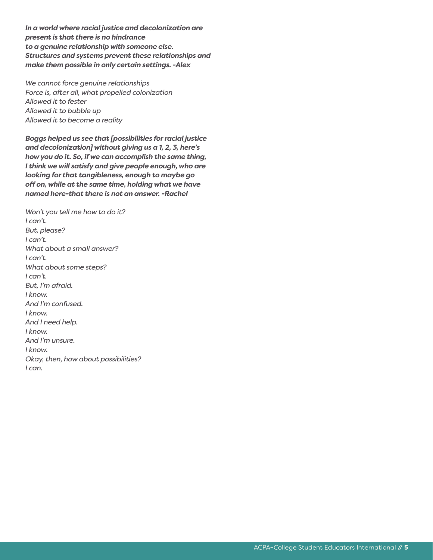*In a world where racial justice and decolonization are present is that there is no hindrance to a genuine relationship with someone else. Structures and systems prevent these relationships and make them possible in only certain settings. -Alex* 

*We cannot force genuine relationships Force is, after all, what propelled colonization Allowed it to fester Allowed it to bubble up Allowed it to become a reality*

*Boggs helped us see that [possibilities for racial justice and decolonization] without giving us a 1, 2, 3, here's how you do it. So, if we can accomplish the same thing, I think we will satisfy and give people enough, who are looking for that tangibleness, enough to maybe go off on, while at the same time, holding what we have named here-that there is not an answer. -Rachel*

*Won't you tell me how to do it? I can't. But, please? I can't. What about a small answer? I can't. What about some steps? I can't. But, I'm afraid. I know. And I'm confused. I know. And I need help. I know. And I'm unsure. I know. Okay, then, how about possibilities? I can.*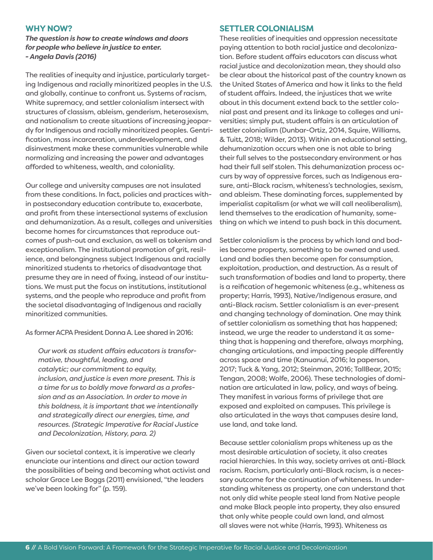### **WHY NOW?**

*The question is how to create windows and doors for people who believe in justice to enter. - Angela Davis (2016)* 

The realities of inequity and injustice, particularly targeting Indigenous and racially minoritized peoples in the U.S. and globally, continue to confront us. Systems of racism, White supremacy, and settler colonialism intersect with structures of classism, ableism, genderism, heterosexism, and nationalism to create situations of increasing jeopardy for Indigenous and racially minoritized peoples. Gentrification, mass incarceration, underdevelopment, and disinvestment make these communities vulnerable while normalizing and increasing the power and advantages afforded to whiteness, wealth, and coloniality.

Our college and university campuses are not insulated from these conditions. In fact, policies and practices within postsecondary education contribute to, exacerbate, and profit from these intersectional systems of exclusion and dehumanization. As a result, colleges and universities become homes for circumstances that reproduce outcomes of push-out and exclusion, as well as tokenism and exceptionalism. The institutional promotion of grit, resilience, and belongingness subject Indigenous and racially minoritized students to rhetorics of disadvantage that presume they are in need of fixing, instead of our institutions. We must put the focus on institutions, institutional systems, and the people who reproduce and profit from the societal disadvantaging of Indigenous and racially minoritized communities.

As former ACPA President Donna A. Lee shared in 2016:

*Our work as student affairs educators is transformative, thoughtful, leading, and catalytic; our commitment to equity, inclusion, and justice is even more present. This is a time for us to boldly move forward as a profession and as an Association. In order to move in this boldness, it is important that we intentionally and strategically direct our energies, time, and resources. (Strategic Imperative for Racial Justice and Decolonization, History, para. 2)*

Given our societal context, it is imperative we clearly enunciate our intentions and direct our action toward the possibilities of being and becoming what activist and scholar Grace Lee Boggs (2011) envisioned, "the leaders we've been looking for" (p. 159).

#### **SETTLER COLONIALISM**

These realities of inequities and oppression necessitate paying attention to both racial justice and decolonization. Before student affairs educators can discuss what racial justice and decolonization mean, they should also be clear about the historical past of the country known as the United States of America and how it links to the field of student affairs. Indeed, the injustices that we write about in this document extend back to the settler colonial past and present and its linkage to colleges and universities; simply put, student affairs is an articulation of settler colonialism (Dunbar-Ortiz, 2014, Squire, Williams, & Tuitt, 2018; Wilder, 2013). Within an educational setting, dehumanization occurs when one is not able to bring their full selves to the postsecondary environment or has had their full self stolen. This dehumanization process occurs by way of oppressive forces, such as Indigenous erasure, anti-Black racism, whiteness's technologies, sexism, and ableism. These dominating forces, supplemented by imperialist capitalism (or what we will call neoliberalism), lend themselves to the eradication of humanity, something on which we intend to push back in this document.

Settler colonialism is the process by which land and bodies become property, something to be owned and used. Land and bodies then become open for consumption, exploitation, production, and destruction. As a result of such transformation of bodies and land to property, there is a reification of hegemonic whiteness (e.g., whiteness as property; Harris, 1993), Native/Indigenous erasure, and anti-Black racism. Settler colonialism is an ever-present and changing technology of domination. One may think of settler colonialism as something that has happened; instead, we urge the reader to understand it as something that is happening and therefore, always morphing, changing articulations, and impacting people differently across space and time (Kanuanui, 2016; la paperson, 2017; Tuck & Yang, 2012; Steinman, 2016; TallBear, 2015; Tengan, 2008; Wolfe, 2006). These technologies of domination are articulated in law, policy, and ways of being. They manifest in various forms of privilege that are exposed and exploited on campuses. This privilege is also articulated in the ways that campuses desire land, use land, and take land.

Because settler colonialism props whiteness up as the most desirable articulation of society, it also creates racial hierarchies. In this way, society arrives at anti-Black racism. Racism, particularly anti-Black racism, is a necessary outcome for the continuation of whiteness. In understanding whiteness as property, one can understand that not only did white people steal land from Native people and make Black people into property, they also ensured that only white people could own land, and almost all slaves were not white (Harris, 1993). Whiteness as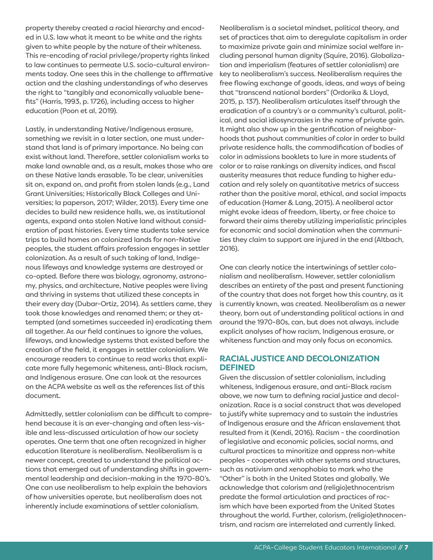property thereby created a racial hierarchy and encoded in U.S. law what it meant to be white and the rights given to white people by the nature of their whiteness. This re-encoding of racial privilege/property rights linked to law continues to permeate U.S. socio-cultural environments today. One sees this in the challenge to affirmative action and the clashing understandings of who deserves the right to "tangibly and economically valuable benefits" (Harris, 1993, p. 1726), including access to higher education (Poon et al, 2019).

Lastly, in understanding Native/Indigenous erasure, something we revisit in a later section, one must understand that land is of primary importance. No being can exist without land. Therefore, settler colonialism works to make land ownable and, as a result, makes those who are on these Native lands erasable. To be clear, universities sit on, expand on, and profit from stolen lands (e.g., Land Grant Universities; Historically Black Colleges and Universities; la paperson, 2017; Wilder, 2013). Every time one decides to build new residence halls, we, as institutional agents, expand onto stolen Native land without consideration of past histories. Every time students take service trips to build homes on colonized lands for non-Native peoples, the student affairs profession engages in settler colonization. As a result of such taking of land, Indigenous lifeways and knowledge systems are destroyed or co-opted. Before there was biology, agronomy, astronomy, physics, and architecture, Native peoples were living and thriving in systems that utilized these concepts in their every day (Dubar-Ortiz, 2014). As settlers came, they took those knowledges and renamed them; or they attempted (and sometimes succeeded in) eradicating them all together. As our field continues to ignore the values, lifeways, and knowledge systems that existed before the creation of the field, it engages in settler colonialism. We encourage readers to continue to read works that explicate more fully hegemonic whiteness, anti-Black racism, and Indigenous erasure. One can look at the resources on the ACPA website as well as the references list of this document.

Admittedly, settler colonialism can be difficult to comprehend because it is an ever-changing and often less-visible and less-discussed articulation of how our society operates. One term that one often recognized in higher education literature is neoliberalism. Neoliberalism is a newer concept, created to understand the political actions that emerged out of understanding shifts in governmental leadership and decision-making in the 1970-80's. One can use neoliberalism to help explain the behaviors of how universities operate, but neoliberalism does not inherently include examinations of settler colonialism.

Neoliberalism is a societal mindset, political theory, and set of practices that aim to deregulate capitalism in order to maximize private gain and minimize social welfare including personal human dignity (Squire, 2016). Globalization and imperialism (features of settler colonialism) are key to neoliberalism's success. Neoliberalism requires the free flowing exchange of goods, ideas, and ways of being that "transcend national borders" (Ordorika & Lloyd, 2015, p. 137). Neoliberalism articulates itself through the eradication of a country's or a community's cultural, political, and social idiosyncrasies in the name of private gain. It might also show up in the gentrification of neighborhoods that pushout communities of color in order to build private residence halls, the commodification of bodies of color in admissions booklets to lure in more students of color or to raise rankings on diversity indices, and fiscal austerity measures that reduce funding to higher education and rely solely on quantitative metrics of success rather than the positive moral, ethical, and social impacts of education (Hamer & Lang, 2015). A neoliberal actor might evoke ideas of freedom, liberty, or free choice to forward their aims thereby utilizing imperialistic principles for economic and social domination when the communities they claim to support are injured in the end (Altbach, 2016).

One can clearly notice the intertwinings of settler colonialism and neoliberalism. However, settler colonialism describes an entirety of the past and present functioning of the country that does not forget how this country, as it is currently known, was created. Neoliberalism as a newer theory, born out of understanding political actions in and around the 1970-80s, can, but does not always, include explicit analyses of how racism, Indigenous erasure, or whiteness function and may only focus on economics.

# **RACIAL JUSTICE AND DECOLONIZATION DEFINED**

Given the discussion of settler colonialism, including whiteness, Indigenous erasure, and anti-Black racism above, we now turn to defining racial justice and decolonization. Race is a social construct that was developed to justify white supremacy and to sustain the industries of Indigenous erasure and the African enslavement that resulted from it (Kendi, 2016). Racism - the coordination of legislative and economic policies, social norms, and cultural practices to minoritize and oppress non-white peoples - cooperates with other systems and structures, such as nativism and xenophobia to mark who the "Other" is both in the United States and globally. We acknowledge that colorism and (religio)ethnocentrism predate the formal articulation and practices of racism which have been exported from the United States throughout the world. Further, colorism, (religio)ethnocentrism, and racism are interrelated and currently linked.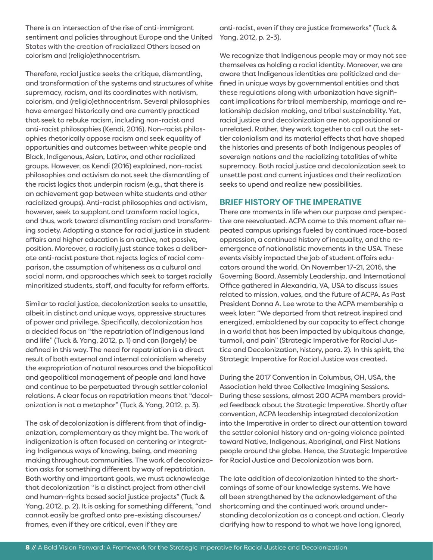There is an intersection of the rise of anti-immigrant sentiment and policies throughout Europe and the United States with the creation of racialized Others based on colorism and (religio)ethnocentrism.

Therefore, racial justice seeks the critique, dismantling, and transformation of the systems and structures of white supremacy, racism, and its coordinates with nativism, colorism, and (religio)ethnocentrism. Several philosophies have emerged historically and are currently practiced that seek to rebuke racism, including non-racist and anti-racist philosophies (Kendi, 2016). Non-racist philosophies rhetorically oppose racism and seek equality of opportunities and outcomes between white people and Black, Indigenous, Asian, Latinx, and other racialized groups. However, as Kendi (2016) explained, non-racist philosophies and activism do not seek the dismantling of the racist logics that underpin racism (e.g., that there is an achievement gap between white students and other racialized groups). Anti-racist philosophies and activism, however, seek to supplant and transform racial logics, and thus, work toward dismantling racism and transforming society. Adopting a stance for racial justice in student affairs and higher education is an active, not passive, position. Moreover, a racially just stance takes a deliberate anti-racist posture that rejects logics of racial comparison, the assumption of whiteness as a cultural and social norm, and approaches which seek to target racially minoritized students, staff, and faculty for reform efforts.

Similar to racial justice, decolonization seeks to unsettle, albeit in distinct and unique ways, oppressive structures of power and privilege. Specifically, decolonization has a decided focus on "the repatriation of Indigenous land and life" (Tuck & Yang, 2012, p. 1) and can (largely) be defined in this way. The need for repatriation is a direct result of both external and internal colonialism whereby the expropriation of natural resources and the biopolitical and geopolitical management of people and land have and continue to be perpetuated through settler colonial relations. A clear focus on repatriation means that "decolonization is not a metaphor" (Tuck & Yang, 2012, p. 3).

The ask of decolonization is different from that of indigenization, complementary as they might be. The work of indigenization is often focused on centering or integrating Indigenous ways of knowing, being, and meaning making throughout communities. The work of decolonization asks for something different by way of repatriation. Both worthy and important goals, we must acknowledge that decolonization "is a distinct project from other civil and human-rights based social justice projects" (Tuck & Yang, 2012, p. 2). It is asking for something different, "and cannot easily be grafted onto pre-existing discourses/ frames, even if they are critical, even if they are

anti-racist, even if they are justice frameworks" (Tuck & Yang, 2012, p. 2-3).

We recognize that Indigenous people may or may not see themselves as holding a racial identity. Moreover, we are aware that Indigenous identities are politicized and defined in unique ways by governmental entities and that these regulations along with urbanization have significant implications for tribal membership, marriage and relationship decision making, and tribal sustainability. Yet, racial justice and decolonization are not oppositional or unrelated. Rather, they work together to call out the settler colonialism and its material effects that have shaped the histories and presents of both Indigenous peoples of sovereign nations and the racializing totalities of white supremacy. Both racial justice and decolonization seek to unsettle past and current injustices and their realization seeks to upend and realize new possibilities.

# **BRIEF HISTORY OF THE IMPERATIVE**

There are moments in life when our purpose and perspective are reevaluated. ACPA came to this moment after repeated campus uprisings fueled by continued race-based oppression, a continued history of inequality, and the reemergence of nationalistic movements in the USA. These events visibly impacted the job of student affairs educators around the world. On November 17-21, 2016, the Governing Board, Assembly Leadership, and International Office gathered in Alexandria, VA, USA to discuss issues related to mission, values, and the future of ACPA. As Past President Donna A. Lee wrote to the ACPA membership a week later: "We departed from that retreat inspired and energized, emboldened by our capacity to effect change in a world that has been impacted by ubiquitous change, turmoil, and pain" (Strategic Imperative for Racial Justice and Decolonization, history, para. 2). In this spirit, the Strategic Imperative for Racial Justice was created.

During the 2017 Convention in Columbus, OH, USA, the Association held three Collective Imagining Sessions. During these sessions, almost 200 ACPA members provided feedback about the Strategic Imperative. Shortly after convention, ACPA leadership integrated decolonization into the Imperative in order to direct our attention toward the settler colonial history and on-going violence pointed toward Native, Indigenous, Aboriginal, and First Nations people around the globe. Hence, the Strategic Imperative for Racial Justice and Decolonization was born.

The late addition of decolonization hinted to the shortcomings of some of our knowledge systems. We have all been strengthened by the acknowledgement of the shortcoming and the continued work around understanding decolonization as a concept and action. Clearly clarifying how to respond to what we have long ignored,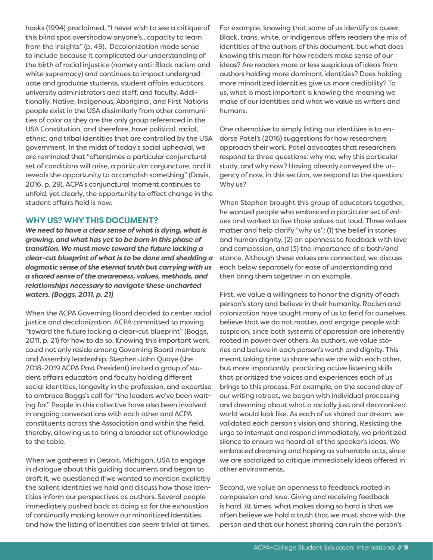hooks (1994) proclaimed, "I never wish to see a critique of this blind spot overshadow anyone's...capacity to learn from the insights" (p. 49). Decolonization made sense to include because it complicated our understanding of the birth of racial injustice (namely anti-Black racism and white supremacy) and continues to impact undergraduate and graduate students, student affairs educators, university administrators and staff, and faculty. Additionally, Native, Indigenous, Aboriginal, and First Nations people exist in the USA dissimilarly from other communities of color as they are the only group referenced in the USA Constitution, and therefore, have political, racial, ethnic, and tribal identities that are controlled by the USA government. In the midst of today's social upheaval, we are reminded that "oftentimes a particular conjunctural set of conditions will arise, a particular conjuncture, and it reveals the opportunity to accomplish something" (Davis, 2016, p. 29). ACPA's conjunctural moment continues to unfold, yet clearly, the opportunity to effect change in the student affairs field is now.

### **WHY US? WHY THIS DOCUMENT?**

*We need to have a clear sense of what is dying, what is growing, and what has yet to be born in this phase of transition. We must move toward the future lacking a clear-cut blueprint of what is to be done and shedding a dogmatic sense of the eternal truth but carrying with us a shared sense of the awareness, values, methods, and relationships necessary to navigate these uncharted waters. (Boggs, 2011, p. 21)*

When the ACPA Governing Board decided to center racial justice and decolonization, ACPA committed to moving "toward the future lacking a clear-cut blueprint" (Boggs, 2011, p. 21) for how to do so. Knowing this important work could not only reside among Governing Board members and Assembly leadership, Stephen John Quaye (the 2018-2019 ACPA Past President) invited a group of student affairs educators and faculty holding different social identities, longevity in the profession, and expertise to embrace Boggs's call for "the leaders we've been waiting for." People in this collective have also been involved in ongoing conversations with each other and ACPA constituents across the Association and within the field, thereby, allowing us to bring a broader set of knowledge to the table.

When we gathered in Detroit, Michigan, USA to engage in dialogue about this guiding document and began to draft it, we questioned if we wanted to mention explicitly the salient identities we hold and discuss how those identities inform our perspectives as authors. Several people immediately pushed back at doing so for the exhaustion of continually making known our minoritized identities and how the listing of identities can seem trivial at times.

For example, knowing that some of us identify as queer, Black, trans, white, or Indigenous offers readers the mix of identities of the authors of this document, but what does knowing this mean for how readers make sense of our ideas? Are readers more or less suspicious of ideas from authors holding more dominant identities? Does holding more minoritized identities give us more credibility? To us, what is most important is knowing the meaning we make of our identities and what we value as writers and humans.

One alternative to simply listing our identities is to endorse Patel's (2016) suggestions for how researchers approach their work. Patel advocates that researchers respond to three questions: why me, why this particular study, and why now? Having already conveyed the urgency of now, in this section, we respond to the question: Why us?

When Stephen brought this group of educators together, he wanted people who embraced a particular set of values and worked to live those values out loud. Three values matter and help clarify "why us": (1) the belief in stories and human dignity, (2) an openness to feedback with love and compassion, and (3) the importance of a both/and stance. Although these values are connected, we discuss each below separately for ease of understanding and then bring them together in an example.

First, we value a willingness to honor the dignity of each person's story and believe in their humanity. Racism and colonization have taught many of us to fend for ourselves, believe that we do not matter, and engage people with suspicion, since both systems of oppression are inherently rooted in power over others. As authors, we value stories and believe in each person's worth and dignity. This meant taking time to share who we are with each other, but more importantly, practicing active listening skills that prioritized the voices and experiences each of us brings to this process. For example, on the second day of our writing retreat, we began with individual processing and dreaming about what a racially just and decolonized world would look like. As each of us shared our dream, we validated each person's vision and sharing. Resisting the urge to interrupt and respond immediately, we prioritized silence to ensure we heard all of the speaker's ideas. We embraced dreaming and hoping as vulnerable acts, since we are socialized to critique immediately ideas offered in other environments.

Second, we value an openness to feedback rooted in compassion and love. Giving and receiving feedback is hard. At times, what makes doing so hard is that we often believe we hold a truth that we must share with the person and that our honest sharing can ruin the person's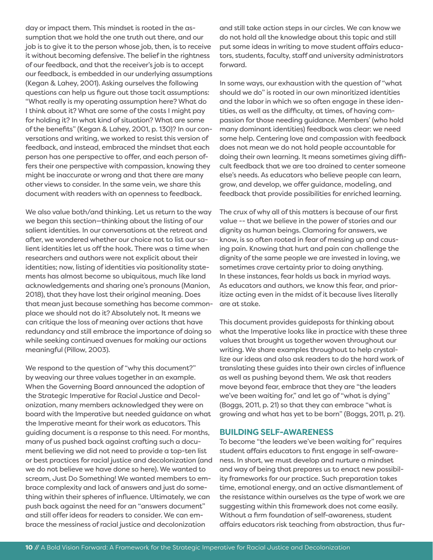day or impact them. This mindset is rooted in the assumption that we hold the one truth out there, and our job is to give it to the person whose job, then, is to receive it without becoming defensive. The belief in the rightness of our feedback, and that the receiver's job is to accept our feedback, is embedded in our underlying assumptions (Kegan & Lahey, 2001). Asking ourselves the following questions can help us figure out those tacit assumptions: "What really is my operating assumption here? What do I think about it? What are some of the costs I might pay for holding it? In what kind of situation? What are some of the benefits" (Kegan & Lahey, 2001, p. 130)? In our conversations and writing, we worked to resist this version of feedback, and instead, embraced the mindset that each person has one perspective to offer, and each person offers their one perspective with compassion, knowing they might be inaccurate or wrong and that there are many other views to consider. In the same vein, we share this document with readers with an openness to feedback.

We also value both/and thinking. Let us return to the way we began this section—thinking about the listing of our salient identities. In our conversations at the retreat and after, we wondered whether our choice not to list our salient identities let us off the hook. There was a time when researchers and authors were not explicit about their identities; now, listing of identities via positionality statements has almost become so ubiquitous, much like land acknowledgements and sharing one's pronouns (Manion, 2018), that they have lost their original meaning. Does that mean just because something has become commonplace we should not do it? Absolutely not. It means we can critique the loss of meaning over actions that have redundancy and still embrace the importance of doing so while seeking continued avenues for making our actions meaningful (Pillow, 2003).

We respond to the question of "why this document?" by weaving our three values together in an example. When the Governing Board announced the adoption of the Strategic Imperative for Racial Justice and Decolonization, many members acknowledged they were on board with the Imperative but needed guidance on what the Imperative meant for their work as educators. This guiding document is a response to this need. For months, many of us pushed back against crafting such a document believing we did not need to provide a top-ten list or best practices for racial justice and decolonization (and we do not believe we have done so here). We wanted to scream, Just Do Something! We wanted members to embrace complexity and lack of answers and just do something within their spheres of influence. Ultimately, we can push back against the need for an "answers document" and still offer ideas for readers to consider. We can embrace the messiness of racial justice and decolonization

and still take action steps in our circles. We can know we do not hold all the knowledge about this topic and still put some ideas in writing to move student affairs educators, students, faculty, staff and university administrators forward.

In some ways, our exhaustion with the question of "what should we do" is rooted in our own minoritized identities and the labor in which we so often engage in these identities, as well as the difficulty, at times, of having compassion for those needing guidance. Members' (who hold many dominant identities) feedback was clear: we need some help. Centering love and compassion with feedback does not mean we do not hold people accountable for doing their own learning. It means sometimes giving difficult feedback that we are too drained to center someone else's needs. As educators who believe people can learn, grow, and develop, we offer guidance, modeling, and feedback that provide possibilities for enriched learning.

The crux of why all of this matters is because of our first value -- that we believe in the power of stories and our dignity as human beings. Clamoring for answers, we know, is so often rooted in fear of messing up and causing pain. Knowing that hurt and pain can challenge the dignity of the same people we are invested in loving, we sometimes crave certainty prior to doing anything. In these instances, fear holds us back in myriad ways. As educators and authors, we know this fear, and prioritize acting even in the midst of it because lives literally are at stake.

This document provides guideposts for thinking about what the Imperative looks like in practice with these three values that brought us together woven throughout our writing. We share examples throughout to help crystallize our ideas and also ask readers to do the hard work of translating these guides into their own circles of influence as well as pushing beyond them. We ask that readers move beyond fear, embrace that they are "the leaders we've been waiting for," and let go of "what is dying" (Boggs, 2011, p. 21) so that they can embrace "what is growing and what has yet to be born" (Boggs, 2011, p. 21).

### **BUILDING SELF-AWARENESS**

To become "the leaders we've been waiting for" requires student affairs educators to first engage in self-awareness. In short, we must develop and nurture a mindset and way of being that prepares us to enact new possibility frameworks for our practice. Such preparation takes time, emotional energy, and an active dismantlement of the resistance within ourselves as the type of work we are suggesting within this framework does not come easily. Without a firm foundation of self-awareness, student affairs educators risk teaching from abstraction, thus fur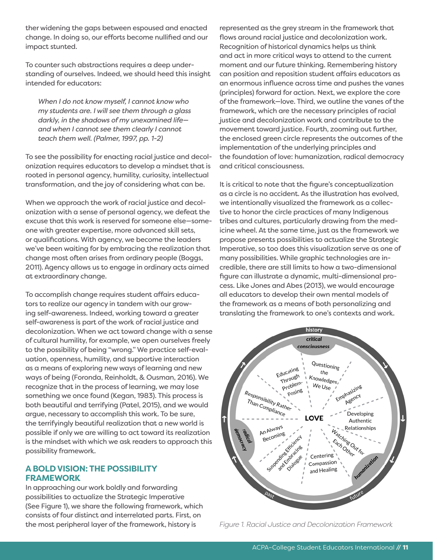ther widening the gaps between espoused and enacted change. In doing so, our efforts become nullified and our impact stunted.

To counter such abstractions requires a deep understanding of ourselves. Indeed, we should heed this insight intended for educators:

*When I do not know myself, I cannot know who my students are. I will see them through a glass darkly, in the shadows of my unexamined life and when I cannot see them clearly I cannot teach them well. (Palmer, 1997, pp. 1-2)*

To see the possibility for enacting racial justice and decolonization requires educators to develop a mindset that is rooted in personal agency, humility, curiosity, intellectual transformation, and the joy of considering what can be.

When we approach the work of racial justice and decolonization with a sense of personal agency, we defeat the excuse that this work is reserved for someone else—someone with greater expertise, more advanced skill sets, or qualifications. With agency, we become the leaders we've been waiting for by embracing the realization that change most often arises from ordinary people (Boggs, 2011). Agency allows us to engage in ordinary acts aimed at extraordinary change.

To accomplish change requires student affairs educators to realize our agency in tandem with our growing self-awareness. Indeed, working toward a greater self-awareness is part of the work of racial justice and decolonization. When we act toward change with a sense of cultural humility, for example, we open ourselves freely to the possibility of being "wrong." We practice self-evaluation, openness, humility, and supportive interaction as a means of exploring new ways of learning and new ways of being (Foronda, Reinholdt, & Ousman, 2016). We recognize that in the process of learning, we may lose something we once found (Kegan, 1983). This process is both beautiful and terrifying (Patel, 2015), and we would argue, necessary to accomplish this work. To be sure, the terrifyingly beautiful realization that a new world is possible if only we are willing to act toward its realization is the mindset with which we ask readers to approach this possibility framework.

# **A BOLD VISION: THE POSSIBILITY FRAMEWORK**

In approaching our work boldly and forwarding possibilities to actualize the Strategic Imperative (See Figure 1), we share the following framework, which consists of four distinct and interrelated parts. First, on the most peripheral layer of the framework, history is

represented as the grey stream in the framework that flows around racial justice and decolonization work. Recognition of historical dynamics helps us think and act in more critical ways to attend to the current moment and our future thinking. Remembering history can position and reposition student affairs educators as an enormous influence across time and pushes the vanes (principles) forward for action. Next, we explore the core of the framework—love. Third, we outline the vanes of the framework, which are the necessary principles of racial justice and decolonization work and contribute to the movement toward justice. Fourth, zooming out further, the enclosed green circle represents the outcomes of the implementation of the underlying principles and the foundation of love: humanization, radical democracy and critical consciousness.

It is critical to note that the figure's conceptualization as a circle is no accident. As the illustration has evolved, we intentionally visualized the framework as a collective to honor the circle practices of many Indigenous tribes and cultures, particularly drawing from the medicine wheel. At the same time, just as the framework we propose presents possibilities to actualize the Strategic Imperative, so too does this visualization serve as one of many possibilities. While graphic technologies are incredible, there are still limits to how a two-dimensional figure can illustrate a dynamic, multi-dimensional process. Like Jones and Abes (2013), we would encourage all educators to develop their own mental models of the framework as a means of both personalizing and translating the framework to one's contexts and work.



*Figure 1. Racial Justice and Decolonization Framework*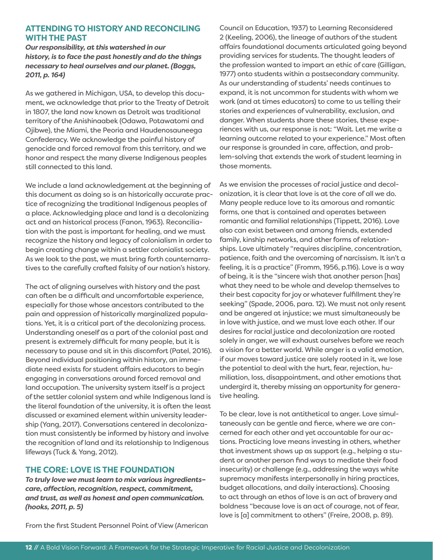# **ATTENDING TO HISTORY AND RECONCILING WITH THE PAST**

*Our responsibility, at this watershed in our history, is to face the past honestly and do the things necessary to heal ourselves and our planet. (Boggs, 2011, p. 164)*

As we gathered in Michigan, USA, to develop this document, we acknowledge that prior to the Treaty of Detroit in 1807, the land now known as Detroit was traditional territory of the Anishinaabek (Odawa, Potawatomi and Ojibwe), the Miami, the Peoria and Haudenosauneega Confederacy. We acknowledge the painful history of genocide and forced removal from this territory, and we honor and respect the many diverse Indigenous peoples still connected to this land.

We include a land acknowledgement at the beginning of this document as doing so is an historically accurate practice of recognizing the traditional Indigenous peoples of a place. Acknowledging place and land is a decolonizing act and an historical process (Fanon, 1963). Reconciliation with the past is important for healing, and we must recognize the history and legacy of colonialism in order to begin creating change within a settler colonialist society. As we look to the past, we must bring forth counternarratives to the carefully crafted falsity of our nation's history.

The act of aligning ourselves with history and the past can often be a difficult and uncomfortable experience, especially for those whose ancestors contributed to the pain and oppression of historically marginalized populations. Yet, it is a critical part of the decolonizing process. Understanding oneself as a part of the colonial past and present is extremely difficult for many people, but it is necessary to pause and sit in this discomfort (Patel, 2016). Beyond individual positioning within history, an immediate need exists for student affairs educators to begin engaging in conversations around forced removal and land occupation. The university system itself is a project of the settler colonial system and while Indigenous land is the literal foundation of the university, it is often the least discussed or examined element within university leadership (Yang, 2017). Conversations centered in decolonization must consistently be informed by history and involve the recognition of land and its relationship to Indigenous lifeways (Tuck & Yang, 2012).

# **THE CORE: LOVE IS THE FOUNDATION**

*To truly love we must learn to mix various ingredients– care, affection, recognition, respect, commitment, and trust, as well as honest and open communication. (hooks, 2011, p. 5)*

Council on Education, 1937) to Learning Reconsidered 2 (Keeling, 2006), the lineage of authors of the student affairs foundational documents articulated going beyond providing services for students. The thought leaders of the profession wanted to impart an ethic of care (Gilligan, 1977) onto students within a postsecondary community. As our understanding of students' needs continues to expand, it is not uncommon for students with whom we work (and at times educators) to come to us telling their stories and experiences of vulnerability, exclusion, and danger. When students share these stories, these experiences with us, our response is not: "Wait. Let me write a learning outcome related to your experience." Most often our response is grounded in care, affection, and problem-solving that extends the work of student learning in those moments.

As we envision the processes of racial justice and decolonization, it is clear that love is at the core of all we do. Many people reduce love to its amorous and romantic forms, one that is contained and operates between romantic and familial relationships (Tippett, 2016). Love also can exist between and among friends, extended family, kinship networks, and other forms of relationships. Love ultimately "requires discipline, concentration, patience, faith and the overcoming of narcissism. It isn't a feeling, it is a practice" (Fromm, 1956, p.116). Love is a way of being, it is the "sincere wish that another person [has] what they need to be whole and develop themselves to their best capacity for joy or whatever fulfillment they're seeking" (Spade, 2006, para. 12). We must not only resent and be angered at injustice; we must simultaneously be in love with justice, and we must love each other. If our desires for racial justice and decolonization are rooted solely in anger, we will exhaust ourselves before we reach a vision for a better world. While anger is a valid emotion, if our moves toward justice are solely rooted in it, we lose the potential to deal with the hurt, fear, rejection, humiliation, loss, disappointment, and other emotions that undergird it, thereby missing an opportunity for generative healing.

To be clear, love is not antithetical to anger. Love simultaneously can be gentle and fierce, where we are concerned for each other and yet accountable for our actions. Practicing love means investing in others, whether that investment shows up as support (e.g., helping a student or another person find ways to mediate their food insecurity) or challenge (e.g., addressing the ways white supremacy manifests interpersonally in hiring practices, budget allocations, and daily interactions). Choosing to act through an ethos of love is an act of bravery and boldness "because love is an act of courage, not of fear, love is [a] commitment to others" (Freire, 2008, p. 89).

From the first Student Personnel Point of View (American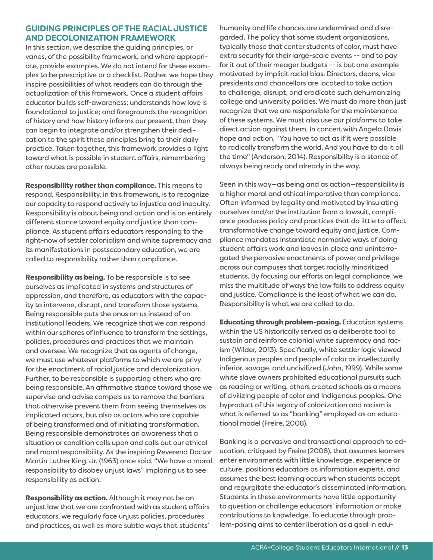# **GUIDING PRINCIPLES OF THE RACIAL JUSTICE AND DECOLONIZATION FRAMEWORK**

In this section, we describe the guiding principles, or vanes, of the possibility framework, and where appropriate, provide examples. We do not intend for these examples to be prescriptive or a checklist. Rather, we hope they inspire possibilities of what readers can do through the actualization of this framework. Once a student affairs educator builds self-awareness; understands how love is foundational to justice; and foregrounds the recognition of history and how history informs our present, then they can begin to integrate and/or strengthen their dedication to the spirit these principles bring to their daily practice. Taken together, this framework provides a light toward what is possible in student affairs, remembering other routes are possible.

Responsibility rather than compliance. This means to respond. Responsibility, in this framework, is to recognize our capacity to respond actively to injustice and inequity. Responsibility is about being and action and is an entirely different stance toward equity and justice than compliance. As student affairs educators responding to the right-now of settler colonialism and white supremacy and its manifestations in postsecondary education, we are called to responsibility rather than compliance.

**Responsibility as being.** To be responsible is to see ourselves as implicated in systems and structures of oppression, and therefore, as educators with the capacity to intervene, disrupt, and transform those systems. Being responsible puts the onus on us instead of on institutional leaders. We recognize that we can respond within our spheres of influence to transform the settings, policies, procedures and practices that we maintain and oversee. We recognize that as agents of change, we must use whatever platforms to which we are privy for the enactment of racial justice and decolonization. Further, to be responsible is supporting others who are being responsible. An affirmative stance toward those we supervise and advise compels us to remove the barriers that otherwise prevent them from seeing themselves as implicated actors, but also as actors who are capable of being transformed and of initiating transformation. Being responsible demonstrates an awareness that a situation or condition calls upon and calls out our ethical and moral responsibility. As the inspiring Reverend Doctor Martin Luther King, Jr. (1963) once said, "We have a moral responsibility to disobey unjust laws" imploring us to see responsibility as action.

Responsibility as action. Although it may not be an unjust law that we are confronted with as student affairs educators, we regularly face unjust policies, procedures and practices, as well as more subtle ways that students'

humanity and life chances are undermined and disregarded. The policy that some student organizations, typically those that center students of color, must have extra security for their large-scale events -- and to pay for it out of their meager budgets -- is but one example motivated by implicit racial bias. Directors, deans, vice presidents and chancellors are located to take action to challenge, disrupt, and eradicate such dehumanizing college and university policies. We must do more than just recognize that we are responsible for the maintenance of these systems. We must also use our platforms to take direct action against them. In concert with Angela Davis' hope and action, "You have to act as if it were possible to radically transform the world. And you have to do it all the time" (Anderson, 2014). Responsibility is a stance of always being ready and already in the way.

Seen in this way—as being and as action—responsibility is a higher moral and ethical imperative than compliance. Often informed by legality and motivated by insulating ourselves and/or the institution from a lawsuit, compliance produces policy and practices that do little to affect transformative change toward equity and justice. Compliance mandates instantiate normative ways of doing student affairs work and leaves in place and uninterrogated the pervasive enactments of power and privilege across our campuses that target racially minoritized students. By focusing our efforts on legal compliance, we miss the multitude of ways the law fails to address equity and justice. Compliance is the least of what we can do. Responsibility is what we are called to do.

Educating through problem-posing. Education systems within the US historically served as a deliberate tool to sustain and reinforce colonial white supremacy and racism (Wilder, 2013). Specifically, white settler logic viewed Indigenous peoples and people of color as intellectually inferior, savage, and uncivilized (John, 1999). While some white slave owners prohibited educational pursuits such as reading or writing, others created schools as a means of civilizing people of color and Indigenous peoples. One byproduct of this legacy of colonization and racism is what is referred to as "banking" employed as an educational model (Freire, 2008).

Banking is a pervasive and transactional approach to education, critiqued by Freire (2008), that assumes learners enter environments with little knowledge, experience or culture, positions educators as information experts, and assumes the best learning occurs when students accept and regurgitate the educator's disseminated information. Students in these environments have little opportunity to question or challenge educators' information or make contributions to knowledge. To educate through problem-posing aims to center liberation as a goal in edu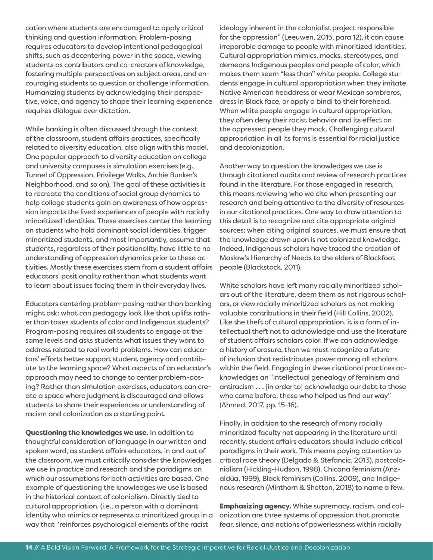cation where students are encouraged to apply critical thinking and question information. Problem-posing requires educators to develop intentional pedagogical shifts, such as decentering power in the space, viewing students as contributors and co-creators of knowledge, fostering multiple perspectives on subject areas, and encouraging students to question or challenge information. Humanizing students by acknowledging their perspective, voice, and agency to shape their learning experience requires dialogue over dictation.

While banking is often discussed through the context of the classroom, student affairs practices, specifically related to diversity education, also align with this model. One popular approach to diversity education on college and university campuses is simulation exercises (e.g., Tunnel of Oppression, Privilege Walks, Archie Bunker's Neighborhood, and so on). The goal of these activities is to recreate the conditions of social group dynamics to help college students gain an awareness of how oppression impacts the lived experiences of people with racially minoritized identities. These exercises center the learning on students who hold dominant social identities, trigger minoritized students, and most importantly, assume that students, regardless of their positionality, have little to no understanding of oppression dynamics prior to these activities. Mostly these exercises stem from a student affairs educators' positionality rather than what students want to learn about issues facing them in their everyday lives.

Educators centering problem-posing rather than banking might ask: what can pedagogy look like that uplifts rather than taxes students of color and Indigenous students? Program-posing requires all students to engage at the same levels and asks students what issues they want to address related to real world problems. How can educators' efforts better support student agency and contribute to the learning space? What aspects of an educator's approach may need to change to center problem-posing? Rather than simulation exercises, educators can create a space where judgment is discouraged and allows students to share their experiences or understanding of racism and colonization as a starting point.

Questioning the knowledges we use. In addition to thoughtful consideration of language in our written and spoken word, as student affairs educators, in and out of the classroom, we must critically consider the knowledges we use in practice and research and the paradigms on which our assumptions for both activities are based. One example of questioning the knowledges we use is based in the historical context of colonialism. Directly tied to cultural appropriation, (i.e., a person with a dominant identity who mimics or represents a minoritized group in a way that "reinforces psychological elements of the racist

ideology inherent in the colonialist project responsible for the oppression" (Leeuwen, 2015, para 12), it can cause irreparable damage to people with minoritized identities. Cultural appropriation mimics, mocks, stereotypes, and demeans Indigenous peoples and people of color, which makes them seem "less than" white people. College students engage in cultural appropriation when they imitate Native American headdress or wear Mexican sombreros, dress in Black face, or apply a bindi to their forehead. When white people engage in cultural appropriation, they often deny their racist behavior and its effect on the oppressed people they mock. Challenging cultural appropriation in all its forms is essential for racial justice and decolonization.

Another way to question the knowledges we use is through citational audits and review of research practices found in the literature. For those engaged in research, this means reviewing who we cite when presenting our research and being attentive to the diversity of resources in our citational practices. One way to draw attention to this detail is to recognize and cite appropriate original sources; when citing original sources, we must ensure that the knowledge drawn upon is not colonized knowledge. Indeed, Indigenous scholars have traced the creation of Maslow's Hierarchy of Needs to the elders of Blackfoot people (Blackstock, 2011).

White scholars have left many racially minoritized scholars out of the literature, deem them as not rigorous scholars, or view racially minoritized scholars as not making valuable contributions in their field (Hill Collins, 2002). Like the theft of cultural appropriation, it is a form of intellectual theft not to acknowledge and use the literature of student affairs scholars color. If we can acknowledge a history of erasure, then we must recognize a future of inclusion that redistributes power among all scholars within the field. Engaging in these citational practices acknowledges an "intellectual genealogy of feminism and antiracism . . . [in order to] acknowledge our debt to those who came before; those who helped us find our way" (Ahmed, 2017, pp. 15-16).

Finally, in addition to the research of many racially minoritized faculty not appearing in the literature until recently, student affairs educators should include critical paradigms in their work. This means paying attention to critical race theory (Delgado & Stefancic, 2013), postcolonialism (Hickling-Hudson, 1998), Chicana feminism (Anzaldúa, 1999), Black feminism (Collins, 2009), and Indigenous research (Minthorn & Shotton, 2018) to name a few.

**Emphasizing agency.** White supremacy, racism, and colonization are three systems of oppression that promote fear, silence, and notions of powerlessness within racially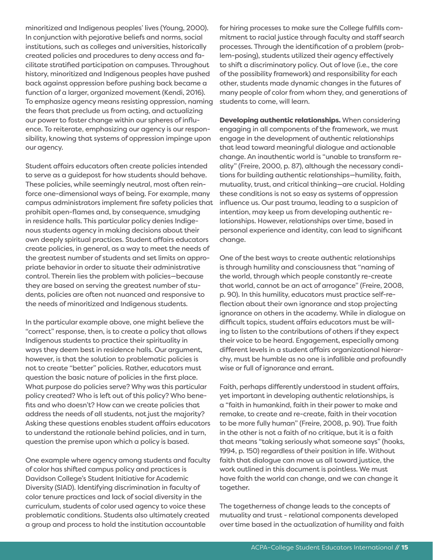minoritized and Indigenous peoples' lives (Young, 2000). In conjunction with pejorative beliefs and norms, social institutions, such as colleges and universities, historically created policies and procedures to deny access and facilitate stratified participation on campuses. Throughout history, minoritized and Indigenous peoples have pushed back against oppression before pushing back became a function of a larger, organized movement (Kendi, 2016). To emphasize agency means resisting oppression, naming the fears that preclude us from acting, and actualizing our power to foster change within our spheres of influence. To reiterate, emphasizing our agency is our responsibility, knowing that systems of oppression impinge upon our agency.

Student affairs educators often create policies intended to serve as a guidepost for how students should behave. These policies, while seemingly neutral, most often reinforce one-dimensional ways of being. For example, many campus administrators implement fire safety policies that prohibit open-flames and, by consequence, smudging in residence halls. This particular policy denies Indigenous students agency in making decisions about their own deeply spiritual practices. Student affairs educators create policies, in general, as a way to meet the needs of the greatest number of students and set limits on appropriate behavior in order to situate their administrative control. Therein lies the problem with policies—because they are based on serving the greatest number of students, policies are often not nuanced and responsive to the needs of minoritized and Indigenous students.

In the particular example above, one might believe the "correct" response, then, is to create a policy that allows Indigenous students to practice their spirituality in ways they deem best in residence halls. Our argument, however, is that the solution to problematic policies is not to create "better" policies. Rather, educators must question the basic nature of policies in the first place. What purpose do policies serve? Why was this particular policy created? Who is left out of this policy? Who benefits and who doesn't? How can we create policies that address the needs of all students, not just the majority? Asking these questions enables student affairs educators to understand the rationale behind policies, and in turn, question the premise upon which a policy is based.

One example where agency among students and faculty of color has shifted campus policy and practices is Davidson College's Student Initiative for Academic Diversity (SIAD). Identifying discrimination in faculty of color tenure practices and lack of social diversity in the curriculum, students of color used agency to voice these problematic conditions. Students also ultimately created a group and process to hold the institution accountable

for hiring processes to make sure the College fulfills commitment to racial justice through faculty and staff search processes. Through the identification of a problem (problem-posing), students utilized their agency effectively to shift a discriminatory policy. Out of love (i.e., the core of the possibility framework) and responsibility for each other, students made dynamic changes in the futures of many people of color from whom they, and generations of students to come, will learn.

Developing authentic relationships. When considering engaging in all components of the framework, we must engage in the development of authentic relationships that lead toward meaningful dialogue and actionable change. An inauthentic world is "unable to transform reality" (Freire, 2000, p. 87), although the necessary conditions for building authentic relationships—humility, faith, mutuality, trust, and critical thinking—are crucial. Holding these conditions is not so easy as systems of oppression influence us. Our past trauma, leading to a suspicion of intention, may keep us from developing authentic relationships. However, relationships over time, based in personal experience and identity, can lead to significant change.

One of the best ways to create authentic relationships is through humility and consciousness that "naming of the world, through which people constantly re-create that world, cannot be an act of arrogance" (Freire, 2008, p. 90). In this humility, educators must practice self-reflection about their own ignorance and stop projecting ignorance on others in the academy. While in dialogue on difficult topics, student affairs educators must be willing to listen to the contributions of others if they expect their voice to be heard. Engagement, especially among different levels in a student affairs organizational hierarchy, must be humble as no one is infallible and profoundly wise or full of ignorance and errant.

Faith, perhaps differently understood in student affairs, yet important in developing authentic relationships, is a "faith in humankind, faith in their power to make and remake, to create and re-create, faith in their vocation to be more fully human" (Freire, 2008, p. 90). True faith in the other is not a faith of no critique, but it is a faith that means "taking seriously what someone says" (hooks, 1994, p. 150) regardless of their position in life. Without faith that dialogue can move us all toward justice, the work outlined in this document is pointless. We must have faith the world can change, and we can change it together.

The togetherness of change leads to the concepts of mutuality and trust - relational components developed over time based in the actualization of humility and faith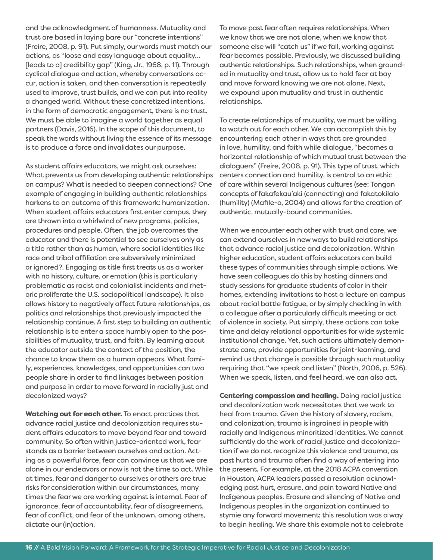and the acknowledgment of humanness. Mutuality and trust are based in laying bare our "concrete intentions" (Freire, 2008, p. 91). Put simply, our words must match our actions, as "loose and easy language about equality… [leads to a] credibility gap" (King, Jr., 1968, p. 11). Through cyclical dialogue and action, whereby conversations occur, action is taken, and then conversation is repeatedly used to improve, trust builds, and we can put into reality a changed world. Without these concretized intentions, in the form of democratic engagement, there is no trust. We must be able to imagine a world together as equal partners (Davis, 2016). In the scope of this document, to speak the words without living the essence of its message is to produce a farce and invalidates our purpose.

As student affairs educators, we might ask ourselves: What prevents us from developing authentic relationships on campus? What is needed to deepen connections? One example of engaging in building authentic relationships harkens to an outcome of this framework: humanization. When student affairs educators first enter campus, they are thrown into a whirlwind of new programs, policies, procedures and people. Often, the job overcomes the educator and there is potential to see ourselves only as a title rather than as human, where social identities like race and tribal affiliation are subversively minimized or ignored?. Engaging as title first treats us as a worker with no history, culture, or emotion (this is particularly problematic as racist and colonialist incidents and rhetoric proliferate the U.S. sociopolitical landscape). It also allows history to negatively affect future relationships, as politics and relationships that previously impacted the relationship continue. A first step to building an authentic relationship is to enter a space humbly open to the possibilities of mutuality, trust, and faith. By learning about the educator outside the context of the position, the chance to know them as a human appears. What family, experiences, knowledges, and opportunities can two people share in order to find linkages between position and purpose in order to move forward in racially just and decolonized ways?

Watching out for each other. To enact practices that advance racial justice and decolonization requires student affairs educators to move beyond fear and toward community. So often within justice-oriented work, fear stands as a barrier between ourselves and action. Acting as a powerful force, fear can convince us that we are alone in our endeavors or now is not the time to act. While at times, fear and danger to ourselves or others are true risks for consideration within our circumstances, many times the fear we are working against is internal. Fear of ignorance, fear of accountability, fear of disagreement, fear of conflict, and fear of the unknown, among others, dictate our (in)action.

To move past fear often requires relationships. When we know that we are not alone, when we know that someone else will "catch us" if we fall, working against fear becomes possible. Previously, we discussed building authentic relationships. Such relationships, when grounded in mutuality and trust, allow us to hold fear at bay and move forward knowing we are not alone. Next, we expound upon mutuality and trust in authentic relationships.

To create relationships of mutuality, we must be willing to watch out for each other. We can accomplish this by encountering each other in ways that are grounded in love, humility, and faith while dialogue, "becomes a horizontal relationship of which mutual trust between the dialoguers" (Freire, 2008, p. 91). This type of trust, which centers connection and humility, is central to an ethic of care within several Indigenous cultures (see: Tongan concepts of fakafekau'aki (connecting) and fakatokilalo (humility) (Mafile-o, 2004) and allows for the creation of authentic, mutually-bound communities.

When we encounter each other with trust and care, we can extend ourselves in new ways to build relationships that advance racial justice and decolonization. Within higher education, student affairs educators can build these types of communities through simple actions. We have seen colleagues do this by hosting dinners and study sessions for graduate students of color in their homes, extending invitations to host a lecture on campus about racial battle fatigue, or by simply checking in with a colleague after a particularly difficult meeting or act of violence in society. Put simply, these actions can take time and delay relational opportunities for wide systemic institutional change. Yet, such actions ultimately demonstrate care, provide opportunities for joint-learning, and remind us that change is possible through such mutuality requiring that "we speak and listen" (North, 2006, p. 526). When we speak, listen, and feel heard, we can also act.

Centering compassion and healing. Doing racial justice and decolonization work necessitates that we work to heal from trauma. Given the history of slavery, racism, and colonization, trauma is ingrained in people with racially and Indigenous minoritized identities. We cannot sufficiently do the work of racial justice and decolonization if we do not recognize this violence and trauma, as past hurts and trauma often find a way of entering into the present. For example, at the 2018 ACPA convention in Houston, ACPA leaders passed a resolution acknowledging past hurt, erasure, and pain toward Native and Indigenous peoples. Erasure and silencing of Native and Indigenous peoples in the organization continued to stymie any forward movement; this resolution was a way to begin healing. We share this example not to celebrate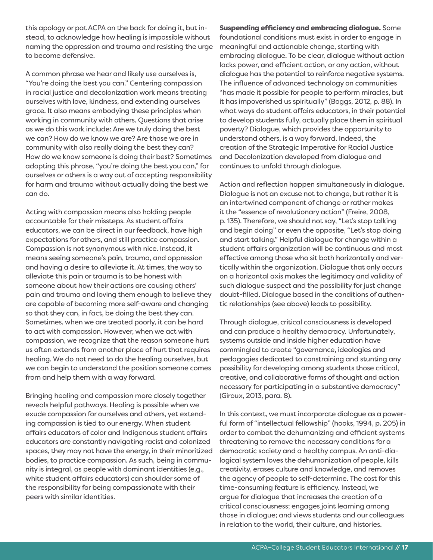this apology or pat ACPA on the back for doing it, but instead, to acknowledge how healing is impossible without naming the oppression and trauma and resisting the urge to become defensive.

A common phrase we hear and likely use ourselves is, "You're doing the best you can." Centering compassion in racial justice and decolonization work means treating ourselves with love, kindness, and extending ourselves grace. It also means embodying these principles when working in community with others. Questions that arise as we do this work include: Are we truly doing the best we can? How do we know we are? Are those we are in community with also really doing the best they can? How do we know someone is doing their best? Sometimes adopting this phrase, "you're doing the best you can," for ourselves or others is a way out of accepting responsibility for harm and trauma without actually doing the best we can do.

Acting with compassion means also holding people accountable for their missteps. As student affairs educators, we can be direct in our feedback, have high expectations for others, and still practice compassion. Compassion is not synonymous with nice. Instead, it means seeing someone's pain, trauma, and oppression and having a desire to alleviate it. At times, the way to alleviate this pain or trauma is to be honest with someone about how their actions are causing others' pain and trauma and loving them enough to believe they are capable of becoming more self-aware and changing so that they can, in fact, be doing the best they can. Sometimes, when we are treated poorly, it can be hard to act with compassion. However, when we act with compassion, we recognize that the reason someone hurt us often extends from another place of hurt that requires healing. We do not need to do the healing ourselves, but we can begin to understand the position someone comes from and help them with a way forward.

Bringing healing and compassion more closely together reveals helpful pathways. Healing is possible when we exude compassion for ourselves and others, yet extending compassion is tied to our energy. When student affairs educators of color and Indigenous student affairs educators are constantly navigating racist and colonized spaces, they may not have the energy, in their minoritized bodies, to practice compassion. As such, being in community is integral, as people with dominant identities (e.g., white student affairs educators) can shoulder some of the responsibility for being compassionate with their peers with similar identities.

Suspending efficiency and embracing dialogue. Some foundational conditions must exist in order to engage in meaningful and actionable change, starting with embracing dialogue. To be clear, dialogue without action lacks power, and efficient action, or any action, without dialogue has the potential to reinforce negative systems. The influence of advanced technology on communities "has made it possible for people to perform miracles, but it has impoverished us spiritually" (Boggs, 2012, p. 88). In what ways do student affairs educators, in their potential to develop students fully, actually place them in spiritual poverty? Dialogue, which provides the opportunity to understand others, is a way forward. Indeed, the creation of the Strategic Imperative for Racial Justice and Decolonization developed from dialogue and continues to unfold through dialogue.

Action and reflection happen simultaneously in dialogue. Dialogue is not an excuse not to change, but rather it is an intertwined component of change or rather makes it the "essence of revolutionary action" (Freire, 2008, p. 135). Therefore, we should not say, "Let's stop talking and begin doing" or even the opposite, "Let's stop doing and start talking." Helpful dialogue for change within a student affairs organization will be continuous and most effective among those who sit both horizontally and vertically within the organization. Dialogue that only occurs on a horizontal axis makes the legitimacy and validity of such dialogue suspect and the possibility for just change doubt-filled. Dialogue based in the conditions of authentic relationships (see above) leads to possibility.

Through dialogue, critical consciousness is developed and can produce a healthy democracy. Unfortunately, systems outside and inside higher education have commingled to create "governance, ideologies and pedagogies dedicated to constraining and stunting any possibility for developing among students those critical, creative, and collaborative forms of thought and action necessary for participating in a substantive democracy" (Giroux, 2013, para. 8).

In this context, we must incorporate dialogue as a powerful form of "intellectual fellowship" (hooks, 1994, p. 205) in order to combat the dehumanizing and efficient systems threatening to remove the necessary conditions for a democratic society and a healthy campus. An anti-dialogical system loves the dehumanization of people, kills creativity, erases culture and knowledge, and removes the agency of people to self-determine. The cost for this time-consuming feature is efficiency. Instead, we argue for dialogue that increases the creation of a critical consciousness; engages joint learning among those in dialogue; and views students and our colleagues in relation to the world, their culture, and histories.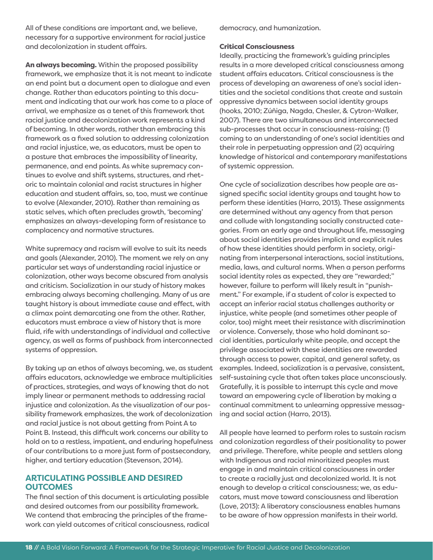All of these conditions are important and, we believe, necessary for a supportive environment for racial justice and decolonization in student affairs.

An always becoming. Within the proposed possibility framework, we emphasize that it is not meant to indicate an end point but a document open to dialogue and even change. Rather than educators pointing to this document and indicating that our work has come to a place of arrival, we emphasize as a tenet of this framework that racial justice and decolonization work represents a kind of becoming. In other words, rather than embracing this framework as a fixed solution to addressing colonization and racial injustice, we, as educators, must be open to a posture that embraces the impossibility of linearity, permanence, and end points. As white supremacy continues to evolve and shift systems, structures, and rhetoric to maintain colonial and racist structures in higher education and student affairs, so, too, must we continue to evolve (Alexander, 2010). Rather than remaining as static selves, which often precludes growth, 'becoming' emphasizes an always-developing form of resistance to complacency and normative structures.

White supremacy and racism will evolve to suit its needs and goals (Alexander, 2010). The moment we rely on any particular set ways of understanding racial injustice or colonization, other ways become obscured from analysis and criticism. Socialization in our study of history makes embracing always becoming challenging. Many of us are taught history is about immediate cause and effect, with a climax point demarcating one from the other. Rather, educators must embrace a view of history that is more fluid, rife with understandings of individual and collective agency, as well as forms of pushback from interconnected systems of oppression.

By taking up an ethos of always becoming, we, as student affairs educators, acknowledge we embrace multiplicities of practices, strategies, and ways of knowing that do not imply linear or permanent methods to addressing racial injustice and colonization. As the visualization of our possibility framework emphasizes, the work of decolonization and racial justice is not about getting from Point A to Point B. Instead, this difficult work concerns our ability to hold on to a restless, impatient, and enduring hopefulness of our contributions to a more just form of postsecondary, higher, and tertiary education (Stevenson, 2014).

# **ARTICULATING POSSIBLE AND DESIRED OUTCOMES**

The final section of this document is articulating possible and desired outcomes from our possibility framework. We contend that embracing the principles of the framework can yield outcomes of critical consciousness, radical democracy, and humanization.

### Critical Consciousness

Ideally, practicing the framework's guiding principles results in a more developed critical consciousness among student affairs educators. Critical consciousness is the process of developing an awareness of one's social identities and the societal conditions that create and sustain oppressive dynamics between social identity groups (hooks, 2010; Zúñiga, Nagda, Chesler, & Cytron-Walker, 2007). There are two simultaneous and interconnected sub-processes that occur in consciousness-raising: (1) coming to an understanding of one's social identities and their role in perpetuating oppression and (2) acquiring knowledge of historical and contemporary manifestations of systemic oppression.

One cycle of socialization describes how people are assigned specific social identity groups and taught how to perform these identities (Harro, 2013). These assignments are determined without any agency from that person and collude with longstanding socially constructed categories. From an early age and throughout life, messaging about social identities provides implicit and explicit rules of how these identities should perform in society, originating from interpersonal interactions, social institutions, media, laws, and cultural norms. When a person performs social identity roles as expected, they are "rewarded;" however, failure to perform will likely result in "punishment." For example, if a student of color is expected to accept an inferior racial status challenges authority or injustice, white people (and sometimes other people of color, too) might meet their resistance with discrimination or violence. Conversely, those who hold dominant social identities, particularly white people, and accept the privilege associated with these identities are rewarded through access to power, capital, and general safety, as examples. Indeed, socialization is a pervasive, consistent, self-sustaining cycle that often takes place unconsciously. Gratefully, it is possible to interrupt this cycle and move toward an empowering cycle of liberation by making a continual commitment to unlearning oppressive messaging and social action (Harro, 2013).

All people have learned to perform roles to sustain racism and colonization regardless of their positionality to power and privilege. Therefore, white people and settlers along with Indigenous and racial minoritized peoples must engage in and maintain critical consciousness in order to create a racially just and decolonized world. It is not enough to develop a critical consciousness; we, as educators, must move toward consciousness and liberation (Love, 2013): A liberatory consciousness enables humans to be aware of how oppression manifests in their world.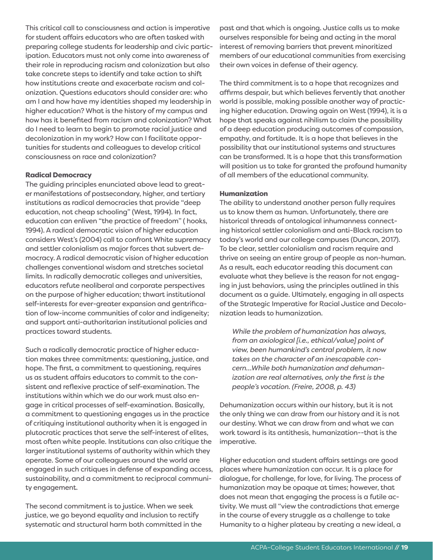This critical call to consciousness and action is imperative for student affairs educators who are often tasked with preparing college students for leadership and civic participation. Educators must not only come into awareness of their role in reproducing racism and colonization but also take concrete steps to identify and take action to shift how institutions create and exacerbate racism and colonization. Questions educators should consider are: who am I and how have my identities shaped my leadership in higher education? What is the history of my campus and how has it benefited from racism and colonization? What do I need to learn to begin to promote racial justice and decolonization in my work? How can I facilitate opportunities for students and colleagues to develop critical consciousness on race and colonization?

### Radical Democracy

The guiding principles enunciated above lead to greater manifestations of postsecondary, higher, and tertiary institutions as radical democracies that provide "deep education, not cheap schooling" (West, 1994). In fact, education can enliven "the practice of freedom" ( hooks, 1994). A radical democratic vision of higher education considers West's (2004) call to confront White supremacy and settler colonialism as major forces that subvert democracy. A radical democratic vision of higher education challenges conventional wisdom and stretches societal limits. In radically democratic colleges and universities, educators refute neoliberal and corporate perspectives on the purpose of higher education; thwart institutional self-interests for ever-greater expansion and gentrification of low-income communities of color and indigeneity; and support anti-authoritarian institutional policies and practices toward students.

Such a radically democratic practice of higher education makes three commitments: questioning, justice, and hope. The first, a commitment to questioning, requires us as student affairs educators to commit to the consistent and reflexive practice of self-examination. The institutions within which we do our work must also engage in critical processes of self-examination. Basically, a commitment to questioning engages us in the practice of critiquing institutional authority when it is engaged in plutocratic practices that serve the self-interest of elites, most often white people. Institutions can also critique the larger institutional systems of authority within which they operate. Some of our colleagues around the world are engaged in such critiques in defense of expanding access, sustainability, and a commitment to reciprocal community engagement.

The second commitment is to justice. When we seek justice, we go beyond equality and inclusion to rectify systematic and structural harm both committed in the past and that which is ongoing. Justice calls us to make ourselves responsible for being and acting in the moral interest of removing barriers that prevent minoritized members of our educational communities from exercising their own voices in defense of their agency.

The third commitment is to a hope that recognizes and affirms despair, but which believes fervently that another world is possible, making possible another way of practicing higher education. Drawing again on West (1994), it is a hope that speaks against nihilism to claim the possibility of a deep education producing outcomes of compassion, empathy, and fortitude. It is a hope that believes in the possibility that our institutional systems and structures can be transformed. It is a hope that this transformation will position us to take for granted the profound humanity of all members of the educational community.

### Humanization

The ability to understand another person fully requires us to know them as human. Unfortunately, there are historical threads of ontological inhumanness connecting historical settler colonialism and anti-Black racism to today's world and our college campuses (Duncan, 2017). To be clear, settler colonialism and racism require and thrive on seeing an entire group of people as non-human. As a result, each educator reading this document can evaluate what they believe is the reason for not engaging in just behaviors, using the principles outlined in this document as a guide. Ultimately, engaging in all aspects of the Strategic Imperative for Racial Justice and Decolonization leads to humanization.

*While the problem of humanization has always, from an axiological [i.e., ethical/value] point of view, been humankind's central problem, it now takes on the character of an inescapable concern…While both humanization and dehumanization are real alternatives, only the first is the people's vocation. (Freire, 2008, p. 43)* 

Dehumanization occurs within our history, but it is not the only thing we can draw from our history and it is not our destiny. What we can draw from and what we can work toward is its antithesis, humanization--that is the imperative.

Higher education and student affairs settings are good places where humanization can occur. It is a place for dialogue, for challenge, for love, for living. The process of humanization may be opaque at times; however, that does not mean that engaging the process is a futile activity. We must all "view the contradictions that emerge in the course of every struggle as a challenge to take Humanity to a higher plateau by creating a new ideal, a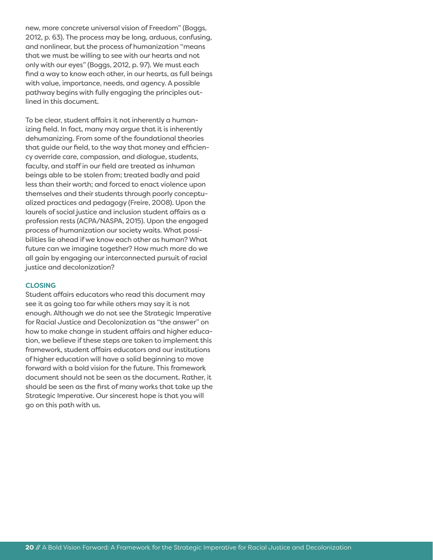new, more concrete universal vision of Freedom" (Boggs, 2012, p. 63). The process may be long, arduous, confusing, and nonlinear, but the process of humanization "means that we must be willing to see with our hearts and not only with our eyes" (Boggs, 2012, p. 97). We must each find a way to know each other, in our hearts, as full beings with value, importance, needs, and agency. A possible pathway begins with fully engaging the principles outlined in this document.

To be clear, student affairs it not inherently a humanizing field. In fact, many may argue that it is inherently dehumanizing. From some of the foundational theories that guide our field, to the way that money and efficiency override care, compassion, and dialogue, students, faculty, and staff in our field are treated as inhuman beings able to be stolen from; treated badly and paid less than their worth; and forced to enact violence upon themselves and their students through poorly conceptualized practices and pedagogy (Freire, 2008). Upon the laurels of social justice and inclusion student affairs as a profession rests (ACPA/NASPA, 2015). Upon the engaged process of humanization our society waits. What possibilities lie ahead if we know each other as human? What future can we imagine together? How much more do we all gain by engaging our interconnected pursuit of racial justice and decolonization?

#### **CLOSING**

Student affairs educators who read this document may see it as going too far while others may say it is not enough. Although we do not see the Strategic Imperative for Racial Justice and Decolonization as "the answer" on how to make change in student affairs and higher education, we believe if these steps are taken to implement this framework, student affairs educators and our institutions of higher education will have a solid beginning to move forward with a bold vision for the future. This framework document should not be seen as the document. Rather, it should be seen as the first of many works that take up the Strategic Imperative. Our sincerest hope is that you will go on this path with us.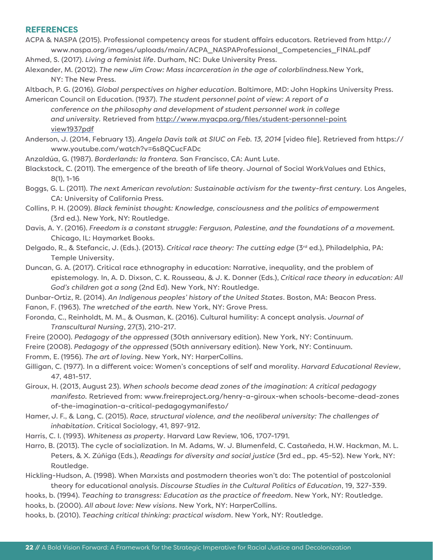# **REFERENCES**

ACPA & NASPA (2015). Professional competency areas for student affairs educators. Retrieved from http:// www.naspa.org/images/uploads/main/ACPA\_NASPAProfessional\_Competencies\_FINAL.pdf

Ahmed, S. (2017). *Living a feminist life*. Durham, NC: Duke University Press.

Alexander, M. (2012). *The new Jim Crow: Mass incarceration in the age of colorblindness.*New York, NY: The New Press.

Altbach, P. G. (2016). *Global perspectives on higher education*. Baltimore, MD: John Hopkins University Press. American Council on Education. (1937). *The student personnel point of view: A report of a*

*conference on the philosophy and development of student personnel work in college and university.* Retrieved from http://www.myacpa.org/files/student-personnel-point view1937pdf

Anderson, J. (2014, February 13). *Angela Davis talk at SIUC on Feb. 13, 2014* [video file]. Retrieved from https:// www.youtube.com/watch?v=6s8QCucFADc

Anzaldúa, G. (1987). *Borderlands: la frontera.* San Francisco, CA: Aunt Lute.

- Blackstock, C. (2011). The emergence of the breath of life theory. Journal of Social WorkValues and Ethics, 8(1), 1-16
- Boggs, G. L. (2011). *The next American revolution: Sustainable activism for the twenty-first century.* Los Angeles, CA: University of California Press.
- Collins, P. H. (2009). *Black feminist thought: Knowledge, consciousness and the politics of empowerment* (3rd ed.). New York, NY: Routledge.
- Davis, A. Y. (2016). *Freedom is a constant struggle: Ferguson, Palestine, and the foundations of a movement.* Chicago, IL: Haymarket Books.
- Delgado, R., & Stefancic, J. (Eds.). (2013). *Critical race theory: The cutting edge* (3rd ed.), Philadelphia, PA: Temple University.
- Duncan, G. A. (2017). Critical race ethnography in education: Narrative, inequality, and the problem of epistemology*.* In, A. D. Dixson, C. K. Rousseau, & J. K. Donner (Eds.), *Critical race theory in education: All God's children got a song* (2nd Ed). New York, NY: Routledge.
- Dunbar-Ortiz, R. (2014). *An Indigenous peoples' history of the United States*. Boston, MA: Beacon Press.

Fanon, F. (1963). *The wretched of the earth.* New York, NY: Grove Press.

- Foronda, C., Reinholdt, M. M., & Ousman, K. (2016). Cultural humility: A concept analysis. *Journal of Transcultural Nursing*, 27(3), 210-217.
- Freire (2000). *Pedagogy of the oppressed* (30th anniversary edition). New York, NY: Continuum.

Freire (2008). *Pedagogy of the oppressed* (50th anniversary edition). New York, NY: Continuum.

Fromm, E. (1956). *The art of loving*. New York, NY: HarperCollins.

- Gilligan, C. (1977). In a different voice: Women's conceptions of self and morality. *Harvard Educational Review*, 47, 481-517.
- Giroux, H. (2013, August 23). *When schools become dead zones of the imagination: A critical pedagogy manifesto.* Retrieved from: www.freireproject.org/henry-a-giroux-when schools-become-dead-zones of-the-imagination-a-critical-pedagogymanifesto/
- Hamer, J. F., & Lang, C. (2015). *Race, structural violence, and the neoliberal university: The challenges of inhabitation*. Critical Sociology, 41, 897-912.
- Harris, C. I. (1993). *Whiteness as property*. Harvard Law Review, 106, 1707-1791.
- Harro, B. (2013). The cycle of socialization. In M. Adams, W. J. Blumenfeld, C. Castañeda, H.W. Hackman, M. L. Peters, & X. Zúñiga (Eds.), *Readings for diversity and social justice* (3rd ed., pp. 45-52). New York, NY: Routledge.
- Hickling-Hudson, A. (1998). When Marxists and postmodern theories won't do: The potential of postcolonial theory for educational analysis. *Discourse Studies in the Cultural Politics of Education*, 19, 327-339.
- hooks, b. (1994). *Teaching to transgress: Education as the practice of freedom*. New York, NY: Routledge.

hooks, b. (2000). *All about love: New visions*. New York, NY: HarperCollins.

hooks, b. (2010). *Teaching critical thinking: practical wisdom*. New York, NY: Routledge.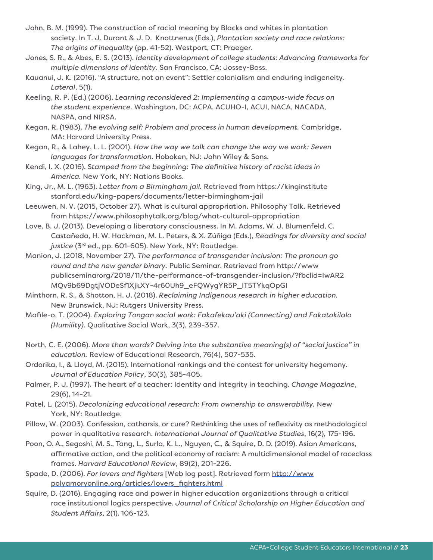- John, B. M. (1999). The construction of racial meaning by Blacks and whites in plantation society. In T. J. Durant & J. D. Knottnerus (Eds.), *Plantation society and race relations: The origins of inequality* (pp. 41-52). Westport, CT: Praeger.
- Jones, S. R., & Abes, E. S. (2013). *Identity development of college students: Advancing frameworks for multiple dimensions of identity*. San Francisco, CA: Jossey-Bass.
- Kauanui, J. K. (2016). "A structure, not an event": Settler colonialism and enduring indigeneity. *Lateral*, 5(1).
- Keeling, R. P. (Ed.) (2006). *Learning reconsidered 2: Implementing a campus-wide focus on the student experience.* Washington, DC: ACPA, ACUHO-I, ACUI, NACA, NACADA, NASPA, and NIRSA.
- Kegan, R. (1983). *The evolving self: Problem and process in human development.* Cambridge, MA: Harvard University Press.
- Kegan, R., & Lahey, L. L. (2001). *How the way we talk can change the way we work: Seven languages for transformation.* Hoboken, NJ: John Wiley & Sons.
- Kendi, I. X. (2016). S*tamped from the beginning: The definitive history of racist ideas in America.* New York, NY: Nations Books.
- King, Jr., M. L. (1963). *Letter from a Birmingham jail.* Retrieved from https://kinginstitute stanford.edu/king-papers/documents/letter-birmingham-jail
- Leeuwen, N. V. (2015, October 27). What is cultural appropriation. Philosophy Talk. Retrieved from https://www.philosophytalk.org/blog/what-cultural-appropriation
- Love, B. J. (2013). Developing a liberatory consciousness. In M. Adams, W. J. Blumenfeld, C. Castañeda, H. W. Hackman, M. L. Peters, & X. Zúñiga (Eds.), *Readings for diversity and social* justice (3<sup>rd</sup> ed., pp. 601-605). New York, NY: Routledge.
- Manion, J. (2018, November 27). *The performance of transgender inclusion: The pronoun go round and the new gender binary.* Public Seminar. Retrieved from http://www publicseminarorg/2018/11/the-performance-of-transgender-inclusion/?fbclid=IwAR2 MQv9b69DgtjVODeSf1XjkXY-4r60Uh9\_eFQWygYR5P\_lT5TYkqOpGI
- Minthorn, R. S., & Shotton, H. J. (2018). *Reclaiming Indigenous research in higher education.* New Brunswick, NJ: Rutgers University Press.
- Mafile-o, T. (2004). *Exploring Tongan social work: Fakafekau'aki (Connecting) and Fakatokilalo (Humility).* Qualitative Social Work, 3(3), 239-357.
- North, C. E. (2006). *More than words? Delving into the substantive meaning(s) of "social justice" in education.* Review of Educational Research, 76(4), 507-535.
- Ordorika, I., & Lloyd, M. (2015). International rankings and the contest for university hegemony. *Journal of Education Policy*, 30(3), 385-405.
- Palmer, P. J. (1997). The heart of a teacher: Identity and integrity in teaching. *Change Magazine*, 29(6), 14-21.
- Patel, L. (2015). *Decolonizing educational research: From ownership to answerability.* New York, NY: Routledge.
- Pillow, W. (2003). Confession, catharsis, or cure? Rethinking the uses of reflexivity as methodological power in qualitative research. *International Journal of Qualitative Studies*, 16(2), 175-196.
- Poon, O. A., Segoshi, M. S., Tang, L., Surla, K. L., Nguyen, C., & Squire, D. D. (2019). Asian Americans, affirmative action, and the political economy of racism: A multidimensional model of raceclass frames. *Harvard Educational Review*, 89(2), 201-226.
- Spade, D. (2006). *For lovers and fighters* [Web log post]. Retrieved form http://www polyamoryonline.org/articles/lovers\_fighters.html
- Squire, D. (2016). Engaging race and power in higher education organizations through a critical race institutional logics perspective. *Journal of Critical Scholarship on Higher Education and Student Affairs*, 2(1), 106-123.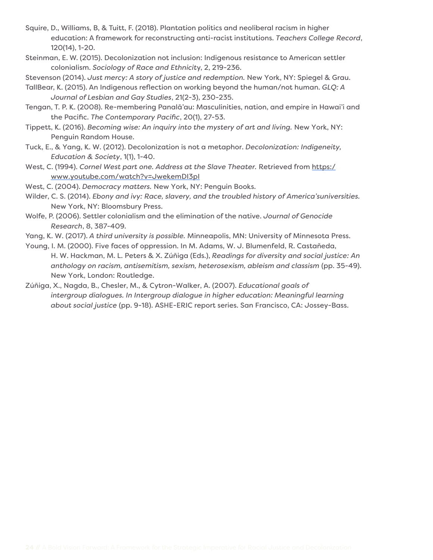- Squire, D., Williams, B, & Tuitt, F. (2018). Plantation politics and neoliberal racism in higher education: A framework for reconstructing anti-racist institutions. *Teachers College Record*, 120(14), 1-20.
- Steinman, E. W. (2015). Decolonization not inclusion: Indigenous resistance to American settler colonialism. *Sociology of Race and Ethnicit*y, 2, 219-236.

Stevenson (2014). *Just mercy: A story of justice and redemption.* New York, NY: Spiegel & Grau.

TallBear, K. (2015). An Indigenous reflection on working beyond the human/not human. *GLQ: A Journal of Lesbian and Gay Studies*, 21(2-3), 230-235.

- Tengan, T. P. K. (2008). Re-membering Panalā'au: Masculinities, nation, and empire in Hawai'i and the Pacific. *The Contemporary Pacific*, 20(1), 27-53.
- Tippett, K. (2016). *Becoming wise: An inquiry into the mystery of art and living.* New York, NY: Penguin Random House.
- Tuck, E., & Yang, K. W. (2012). Decolonization is not a metaphor. *Decolonization: Indigeneity, Education & Society*, 1(1), 1-40.
- West, C. (1994). *Cornel West part one. Address at the Slave Theater.* Retrieved from https:/ www.youtube.com/watch?v=JwekemDI3pI

West, C. (2004). *Democracy matters.* New York, NY: Penguin Books.

- Wilder, C. S. (2014). *Ebony and ivy: Race, slavery, and the troubled history of America'suniversities.* New York, NY: Bloomsbury Press.
- Wolfe, P. (2006). Settler colonialism and the elimination of the native. *Journal of Genocide Research*, 8, 387-409.

Yang, K. W. (2017). *A third university is possible.* Minneapolis, MN: University of Minnesota Press.

Young, I. M. (2000). Five faces of oppression. In M. Adams, W. J. Blumenfeld, R. Castañeda, H. W. Hackman, M. L. Peters & X. Zúñiga (Eds.), *Readings for diversity and social justice: An anthology on racism, antisemitism, sexism, heterosexism, ableism and classism* (pp. 35-49). New York, London: Routledge.

Zúñiga, X., Nagda, B., Chesler, M., & Cytron-Walker, A. (2007). *Educational goals of intergroup dialogues. In Intergroup dialogue in higher education: Meaningful learning about social justice* (pp. 9-18). ASHE-ERIC report series. San Francisco, CA: Jossey-Bass.